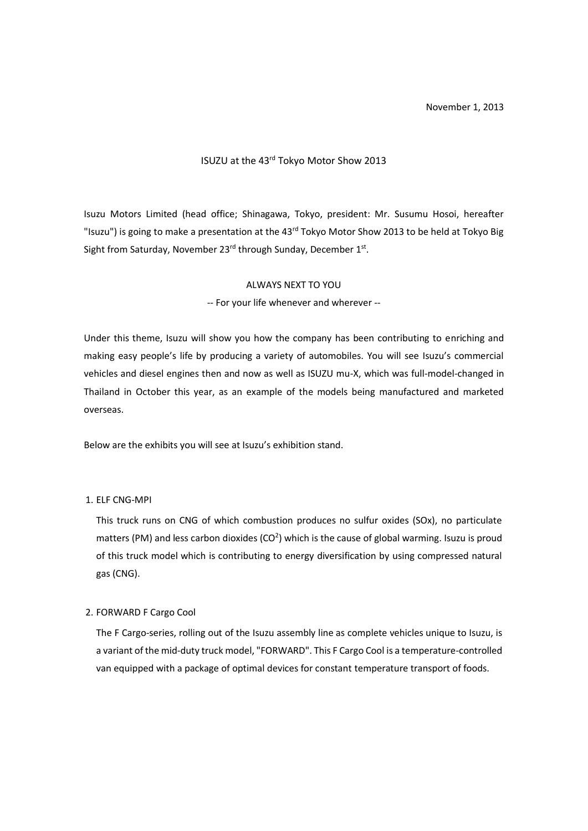November 1, 2013

# ISUZU at the 43rd Tokyo Motor Show 2013

Isuzu Motors Limited (head office; Shinagawa, Tokyo, president: Mr. Susumu Hosoi, hereafter "Isuzu") is going to make a presentation at the 43<sup>rd</sup> Tokyo Motor Show 2013 to be held at Tokyo Big Sight from Saturday, November 23<sup>rd</sup> through Sunday, December 1st.

#### ALWAYS NEXT TO YOU

-- For your life whenever and wherever --

Under this theme, Isuzu will show you how the company has been contributing to enriching and making easy people's life by producing a variety of automobiles. You will see Isuzu's commercial vehicles and diesel engines then and now as well as ISUZU mu-X, which was full-model-changed in Thailand in October this year, as an example of the models being manufactured and marketed overseas.

Below are the exhibits you will see at Isuzu's exhibition stand.

#### 1. ELF CNG-MPI

This truck runs on CNG of which combustion produces no sulfur oxides (SOx), no particulate matters (PM) and less carbon dioxides (CO<sup>2</sup>) which is the cause of global warming. Isuzu is proud of this truck model which is contributing to energy diversification by using compressed natural gas (CNG).

#### 2. FORWARD F Cargo Cool

The F Cargo-series, rolling out of the Isuzu assembly line as complete vehicles unique to Isuzu, is a variant of the mid-duty truck model, "FORWARD". This F Cargo Cool is a temperature-controlled van equipped with a package of optimal devices for constant temperature transport of foods.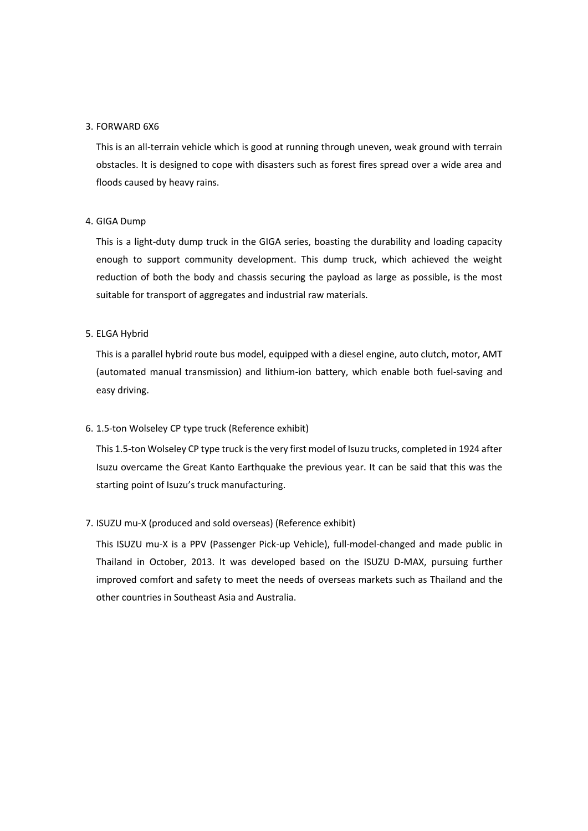### 3. FORWARD 6X6

This is an all-terrain vehicle which is good at running through uneven, weak ground with terrain obstacles. It is designed to cope with disasters such as forest fires spread over a wide area and floods caused by heavy rains.

## 4. GIGA Dump

This is a light-duty dump truck in the GIGA series, boasting the durability and loading capacity enough to support community development. This dump truck, which achieved the weight reduction of both the body and chassis securing the payload as large as possible, is the most suitable for transport of aggregates and industrial raw materials.

## 5. ELGA Hybrid

This is a parallel hybrid route bus model, equipped with a diesel engine, auto clutch, motor, AMT (automated manual transmission) and lithium-ion battery, which enable both fuel-saving and easy driving.

# 6. 1.5-ton Wolseley CP type truck (Reference exhibit)

This 1.5-ton Wolseley CP type truck is the very first model of Isuzu trucks, completed in 1924 after Isuzu overcame the Great Kanto Earthquake the previous year. It can be said that this was the starting point of Isuzu's truck manufacturing.

# 7. ISUZU mu-X (produced and sold overseas) (Reference exhibit)

This ISUZU mu-X is a PPV (Passenger Pick-up Vehicle), full-model-changed and made public in Thailand in October, 2013. It was developed based on the ISUZU D-MAX, pursuing further improved comfort and safety to meet the needs of overseas markets such as Thailand and the other countries in Southeast Asia and Australia.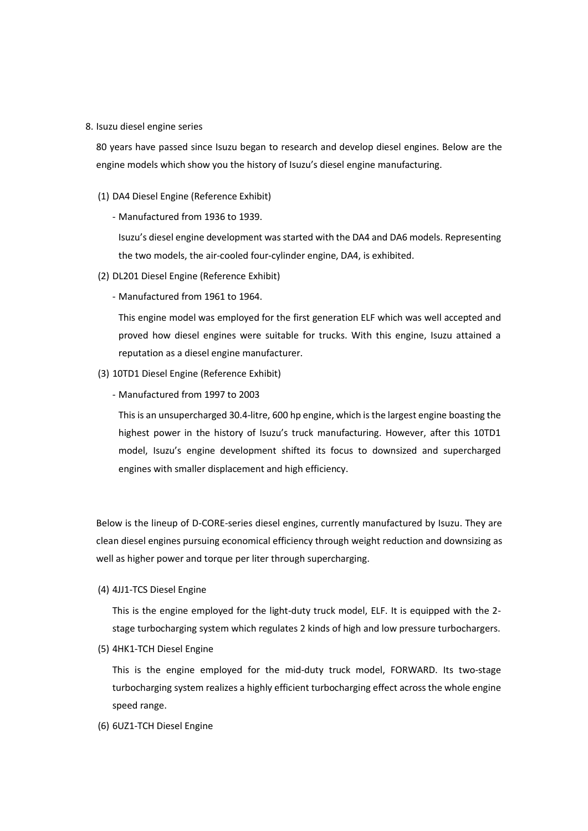8. Isuzu diesel engine series

80 years have passed since Isuzu began to research and develop diesel engines. Below are the engine models which show you the history of Isuzu's diesel engine manufacturing.

- (1) DA4 Diesel Engine (Reference Exhibit)
	- Manufactured from 1936 to 1939.

Isuzu's diesel engine development was started with the DA4 and DA6 models. Representing the two models, the air-cooled four-cylinder engine, DA4, is exhibited.

- (2) DL201 Diesel Engine (Reference Exhibit)
	- Manufactured from 1961 to 1964.

This engine model was employed for the first generation ELF which was well accepted and proved how diesel engines were suitable for trucks. With this engine, Isuzu attained a reputation as a diesel engine manufacturer.

- (3) 10TD1 Diesel Engine (Reference Exhibit)
	- Manufactured from 1997 to 2003

This is an unsupercharged 30.4-litre, 600 hp engine, which is the largest engine boasting the highest power in the history of Isuzu's truck manufacturing. However, after this 10TD1 model, Isuzu's engine development shifted its focus to downsized and supercharged engines with smaller displacement and high efficiency.

Below is the lineup of D-CORE-series diesel engines, currently manufactured by Isuzu. They are clean diesel engines pursuing economical efficiency through weight reduction and downsizing as well as higher power and torque per liter through supercharging.

(4) 4JJ1-TCS Diesel Engine

This is the engine employed for the light-duty truck model, ELF. It is equipped with the 2 stage turbocharging system which regulates 2 kinds of high and low pressure turbochargers.

(5) 4HK1-TCH Diesel Engine

This is the engine employed for the mid-duty truck model, FORWARD. Its two-stage turbocharging system realizes a highly efficient turbocharging effect across the whole engine speed range.

(6) 6UZ1-TCH Diesel Engine